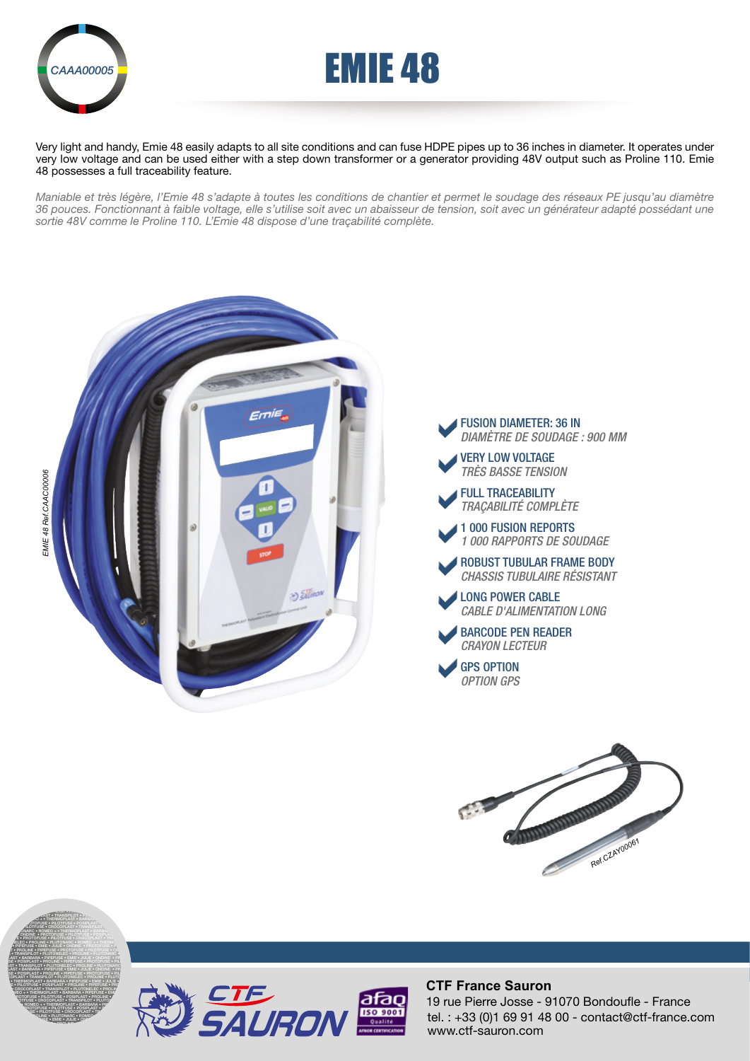



Very light and handy, Emie 48 easily adapts to all site conditions and can fuse HDPE pipes up to 36 inches in diameter. It operates under very low voltage and can be used either with a step down transformer or a generator providing 48V output such as Proline 110. Emie 48 possesses a full traceability feature.

*Maniable et très légère, l'Emie 48 s'adapte à toutes les conditions de chantier et permet le soudage des réseaux PE jusqu'au diamètre 36 pouces. Fonctionnant à faible voltage, elle s'utilise soit avec un abaisseur de tension, soit avec un générateur adapté possédant une sortie 48V comme le Proline 110. L'Emie 48 dispose d'une traçabilité complète.*









PROLINE • PIPEFUSE • PROTOFUSE • PILOTFUSE • CROCOPLAST • TRANSPILOT • THERMOPLAST • PIPEFUSE • EMIE • PILOTFUSE • PILOTFUSE • PILOTFUSE • PILOTFUSE • PRODUCTS **PILOT • TRANSPILOT • PLUT PLOTON • THERMOPLAST • BARBARA • JULIE • PILOTFUSE • POSIPLAST • PROLINE • PROPERTIES PROTOCOPLAST • TRANSPILOT • PLUT OF PROPERTIES PROVIDED + • THERMOPLAST • BARBAR EMIE • PROTOFUSE • PILOTFUSE • POSIPLAST • PROTOFUSE E** • PROTOFUSE • PILOTFUSE • CROCOPLAST • TRANSPILOTED **RE ELEC • PROLINE • PLUTONARC • ROMEO + • THERMOPLAST •** FARBARA • PIPEFUSE • EMIE • JULIE • ONDINE • PROTOFUSE • P.<br>In • Proline • Pipefuse • Protofuse • pilotfuse • crocop • TRANSPILOT • PLUTONELEC • PROLINE • PLUTONARC • ROMEO +



## **CTF France Sauron**

tel. : +33 (0)1 69 91 48 00 - contact@ctf-france.com www.ctf-sauron.com 19 rue Pierre Josse - 91070 Bondoufle - France